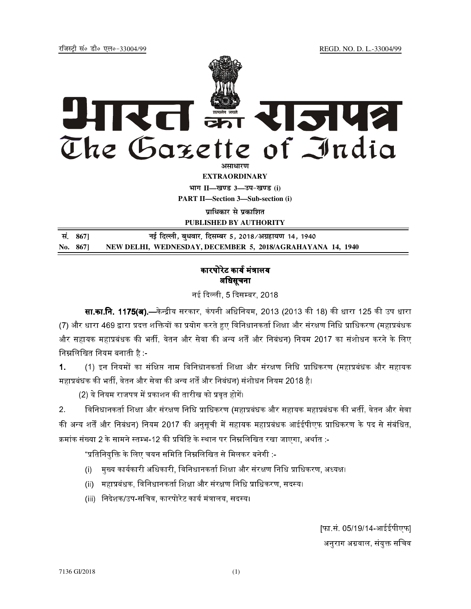REGD. NO. D. L.-33004/99

रजिस्टी सं० डी० एल०-33004/99



**EXTRAORDINARY** भाग II-खण्ड 3-उप-खण्ड (i) **PART II-Section 3-Sub-section (i)** 

पाधिकार से पकाशित

PUBLISHED BY AUTHORITY

| सं. 867] | नई दिल्ली, बुधवार, दिसम्बर 5, 2018⁄अग्रहायण 14, 1940       |
|----------|------------------------------------------------------------|
| No. 867  | NEW DELHI, WEDNESDAY, DECEMBER 5, 2018/AGRAHAYANA 14, 1940 |

## कारपोरेट कार्य मंत्रालय अधिसूचना

नई दिल्ली, 5 दिसम्बर, 2018

सा.का.नि. 1175(अ).—केन्द्रीय सरकार, कंपनी अधिनियम, 2013 (2013 की 18) की धारा 125 की उप धारा (7) और धारा 469 द्वारा प्रदत्त शक्तियों का प्रयोग करते हुए विनिधानकर्ता शिक्षा और संरक्षण निधि प्राधिकरण (महाप्रबंधक और सहायक महाप्रबंधक की भर्ती, वेतन और सेवा की अन्य शर्तें और निबंधन) नियम 2017 का संशोधन करने के लिए निम्नलिखित नियम बनाती है :-

(1) इन नियमों का संक्षिप्त नाम विनिधानकर्ता शिक्षा और संरक्षण निधि प्राधिकरण (महाप्रबंधक और सहायक  $\mathbf 1$ महाप्रबंधक की भर्ती, वेतन और सेवा की अन्य शर्तें और निबंधन) संशोधन नियम 2018 है।

(2) ये नियम राजपत्र में प्रकाशन की तारीख को प्रवृत होगें।

 $2<sub>1</sub>$ विनिधानकर्ता शिक्षा और संरक्षण निधि प्राधिकरण (महाप्रबंधक और सहायक महाप्रबंधक की भर्ती, वेतन और सेवा की अन्य शर्तें और निबंधन) नियम 2017 की अनुसुची में सहायक महाप्रबंधक आईईपीएफ प्राधिकरण के पद से संबंधित, कमांक संख्या 2 के सामने स्तम्भ-12 की प्रविष्टि के स्थान पर निम्नलिखित रखा जाएगा, अर्थात :-

"प्रतिनियुक्ति के लिए चयन समिति निम्नलिखित से मिलकर बनेगी :-

- (i) सुख्य कार्यकारी अधिकारी, विनिधानकर्ता शिक्षा और संरक्षण निधि प्राधिकरण, अध्यक्ष।
- (ii) महाप्रबंधक, विनिधानकर्ता शिक्षा और संरक्षण निधि प्राधिकरण, सदस्य।
- (iii) निदेशक/उप-सचिव, कारपोरेट कार्य मंत्रालय, सदस्य।

[फा.सं. 05/19/14-आईईपीएफ] अनुराग अग्रवाल, संयुक्त सचिव